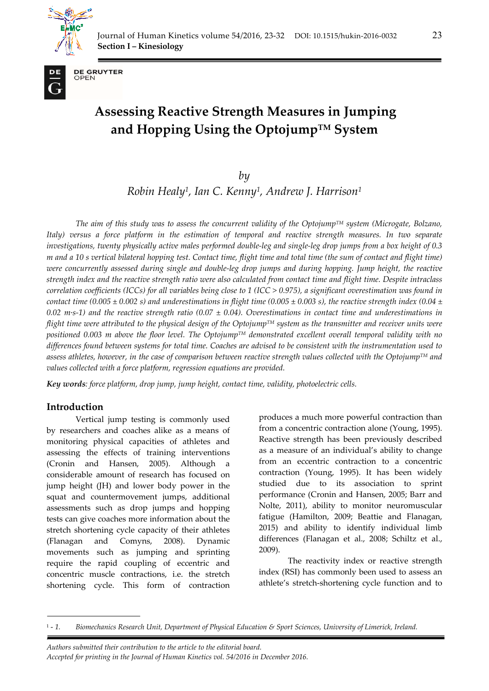



**DE GRUYTER** OPEN

# **Assessing Reactive Strength Measures in Jumping and Hopping Using the OptojumpTM System**

*by* 

*Robin Healy1, Ian C. Kenny1, Andrew J. Harrison1*

*The aim of this study was to assess the concurrent validity of the OptojumpTM system (Microgate, Bolzano, Italy) versus a force platform in the estimation of temporal and reactive strength measures. In two separate investigations, twenty physically active males performed double-leg and single-leg drop jumps from a box height of 0.3 m and a 10 s vertical bilateral hopping test. Contact time, flight time and total time (the sum of contact and flight time) were concurrently assessed during single and double-leg drop jumps and during hopping. Jump height, the reactive strength index and the reactive strength ratio were also calculated from contact time and flight time. Despite intraclass correlation coefficients (ICCs) for all variables being close to 1 (ICC > 0.975), a significant overestimation was found in contact time (0.005*  $\pm$  *0.002 s) and underestimations in flight time (0.005*  $\pm$  *0.003 s), the reactive strength index (0.04*  $\pm$ 0.02 m·s-1) and the reactive strength ratio (0.07  $\pm$  0.04). Overestimations in contact time and underestimations in *flight time were attributed to the physical design of the OptojumpTM system as the transmitter and receiver units were positioned 0.003 m above the floor level. The OptojumpTM demonstrated excellent overall temporal validity with no differences found between systems for total time. Coaches are advised to be consistent with the instrumentation used to assess athletes, however, in the case of comparison between reactive strength values collected with the OptojumpTM and values collected with a force platform, regression equations are provided.*

*Key words: force platform, drop jump, jump height, contact time, validity, photoelectric cells.* 

# **Introduction**

*.* 

Vertical jump testing is commonly used by researchers and coaches alike as a means of monitoring physical capacities of athletes and assessing the effects of training interventions (Cronin and Hansen, 2005). Although a considerable amount of research has focused on jump height (JH) and lower body power in the squat and countermovement jumps, additional assessments such as drop jumps and hopping tests can give coaches more information about the stretch shortening cycle capacity of their athletes (Flanagan and Comyns, 2008). Dynamic movements such as jumping and sprinting require the rapid coupling of eccentric and concentric muscle contractions, i.e. the stretch shortening cycle. This form of contraction

produces a much more powerful contraction than from a concentric contraction alone (Young, 1995). Reactive strength has been previously described as a measure of an individual's ability to change from an eccentric contraction to a concentric contraction (Young, 1995). It has been widely studied due to its association to sprint performance (Cronin and Hansen, 2005; Barr and Nolte, 2011), ability to monitor neuromuscular fatigue (Hamilton, 2009; Beattie and Flanagan, 2015) and ability to identify individual limb differences (Flanagan et al., 2008; Schiltz et al., 2009).

The reactivity index or reactive strength index (RSI) has commonly been used to assess an athlete's stretch-shortening cycle function and to

*Authors submitted their contribution to the article to the editorial board. Accepted for printing in the Journal of Human Kinetics vol. 54/2016 in December 2016.* 

<sup>1 -</sup> *1. Biomechanics Research Unit, Department of Physical Education & Sport Sciences, University of Limerick, Ireland.*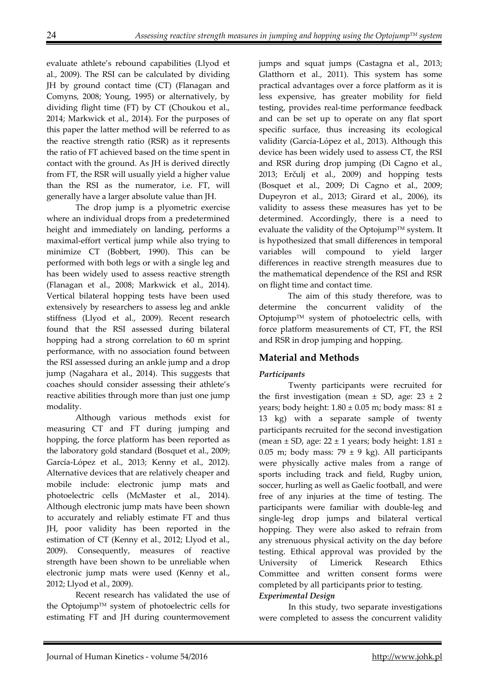evaluate athlete's rebound capabilities (Llyod et al., 2009). The RSI can be calculated by dividing JH by ground contact time (CT) (Flanagan and Comyns, 2008; Young, 1995) or alternatively, by dividing flight time (FT) by CT (Choukou et al., 2014; Markwick et al., 2014). For the purposes of this paper the latter method will be referred to as the reactive strength ratio (RSR) as it represents the ratio of FT achieved based on the time spent in contact with the ground. As JH is derived directly from FT, the RSR will usually yield a higher value than the RSI as the numerator, i.e. FT, will generally have a larger absolute value than JH.

The drop jump is a plyometric exercise where an individual drops from a predetermined height and immediately on landing, performs a maximal-effort vertical jump while also trying to minimize CT (Bobbert, 1990). This can be performed with both legs or with a single leg and has been widely used to assess reactive strength (Flanagan et al., 2008; Markwick et al., 2014). Vertical bilateral hopping tests have been used extensively by researchers to assess leg and ankle stiffness (Llyod et al., 2009). Recent research found that the RSI assessed during bilateral hopping had a strong correlation to 60 m sprint performance, with no association found between the RSI assessed during an ankle jump and a drop jump (Nagahara et al., 2014). This suggests that coaches should consider assessing their athlete's reactive abilities through more than just one jump modality.

Although various methods exist for measuring CT and FT during jumping and hopping, the force platform has been reported as the laboratory gold standard (Bosquet et al., 2009; García-López et al., 2013; Kenny et al., 2012). Alternative devices that are relatively cheaper and mobile include: electronic jump mats and photoelectric cells (McMaster et al., 2014). Although electronic jump mats have been shown to accurately and reliably estimate FT and thus JH, poor validity has been reported in the estimation of CT (Kenny et al., 2012; Llyod et al., 2009). Consequently, measures of reactive strength have been shown to be unreliable when electronic jump mats were used (Kenny et al., 2012; Llyod et al., 2009).

Recent research has validated the use of the Optojump™ system of photoelectric cells for estimating FT and JH during countermovement jumps and squat jumps (Castagna et al., 2013; Glatthorn et al., 2011). This system has some practical advantages over a force platform as it is less expensive, has greater mobility for field testing, provides real-time performance feedback and can be set up to operate on any flat sport specific surface, thus increasing its ecological validity (García-López et al., 2013). Although this device has been widely used to assess CT, the RSI and RSR during drop jumping (Di Cagno et al., 2013; Erčulj et al., 2009) and hopping tests (Bosquet et al., 2009; Di Cagno et al., 2009; Dupeyron et al., 2013; Girard et al., 2006), its validity to assess these measures has yet to be determined. Accordingly, there is a need to evaluate the validity of the Optojump™ system. It is hypothesized that small differences in temporal variables will compound to yield larger differences in reactive strength measures due to the mathematical dependence of the RSI and RSR on flight time and contact time.

The aim of this study therefore, was to determine the concurrent validity of the OptojumpTM system of photoelectric cells, with force platform measurements of CT, FT, the RSI and RSR in drop jumping and hopping.

# **Material and Methods**

# *Participants*

Twenty participants were recruited for the first investigation (mean  $\pm$  SD, age: 23  $\pm$  2 years; body height:  $1.80 \pm 0.05$  m; body mass:  $81 \pm$ 13 kg) with a separate sample of twenty participants recruited for the second investigation (mean  $\pm$  SD, age: 22  $\pm$  1 years; body height: 1.81  $\pm$ 0.05 m; body mass: 79  $\pm$  9 kg). All participants were physically active males from a range of sports including track and field, Rugby union, soccer, hurling as well as Gaelic football, and were free of any injuries at the time of testing. The participants were familiar with double-leg and single-leg drop jumps and bilateral vertical hopping. They were also asked to refrain from any strenuous physical activity on the day before testing. Ethical approval was provided by the University of Limerick Research Ethics Committee and written consent forms were completed by all participants prior to testing.

# *Experimental Design*

In this study, two separate investigations were completed to assess the concurrent validity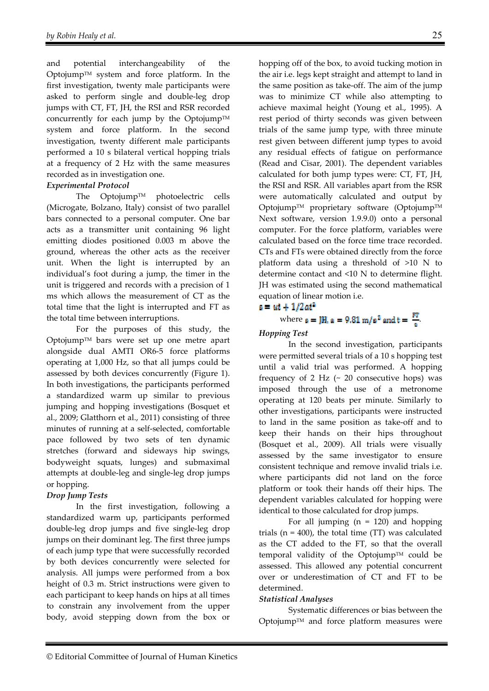and potential interchangeability of the OptojumpTM system and force platform. In the first investigation, twenty male participants were asked to perform single and double-leg drop jumps with CT, FT, JH, the RSI and RSR recorded concurrently for each jump by the Optojump<sup>TM</sup> system and force platform. In the second investigation, twenty different male participants performed a 10 s bilateral vertical hopping trials at a frequency of 2 Hz with the same measures recorded as in investigation one.

# *Experimental Protocol*

The OptojumpTM photoelectric cells (Microgate, Bolzano, Italy) consist of two parallel bars connected to a personal computer. One bar acts as a transmitter unit containing 96 light emitting diodes positioned 0.003 m above the ground, whereas the other acts as the receiver unit. When the light is interrupted by an individual's foot during a jump, the timer in the unit is triggered and records with a precision of 1 ms which allows the measurement of CT as the total time that the light is interrupted and FT as the total time between interruptions.

For the purposes of this study, the OptojumpTM bars were set up one metre apart alongside dual AMTI OR6-5 force platforms operating at 1,000 Hz, so that all jumps could be assessed by both devices concurrently (Figure 1). In both investigations, the participants performed a standardized warm up similar to previous jumping and hopping investigations (Bosquet et al., 2009; Glatthorn et al., 2011) consisting of three minutes of running at a self-selected, comfortable pace followed by two sets of ten dynamic stretches (forward and sideways hip swings, bodyweight squats, lunges) and submaximal attempts at double-leg and single-leg drop jumps or hopping.

# *Drop Jump Tests*

In the first investigation, following a standardized warm up, participants performed double-leg drop jumps and five single-leg drop jumps on their dominant leg. The first three jumps of each jump type that were successfully recorded by both devices concurrently were selected for analysis. All jumps were performed from a box height of 0.3 m. Strict instructions were given to each participant to keep hands on hips at all times to constrain any involvement from the upper body, avoid stepping down from the box or hopping off of the box, to avoid tucking motion in the air i.e. legs kept straight and attempt to land in the same position as take-off. The aim of the jump was to minimize CT while also attempting to achieve maximal height (Young et al., 1995). A rest period of thirty seconds was given between trials of the same jump type, with three minute rest given between different jump types to avoid any residual effects of fatigue on performance (Read and Cisar, 2001). The dependent variables calculated for both jump types were: CT, FT, JH, the RSI and RSR. All variables apart from the RSR were automatically calculated and output by Optojump™ proprietary software (Optojump™ Next software, version 1.9.9.0) onto a personal computer. For the force platform, variables were calculated based on the force time trace recorded. CTs and FTs were obtained directly from the force platform data using a threshold of >10 N to determine contact and <10 N to determine flight. JH was estimated using the second mathematical equation of linear motion i.e.

#### $s = ut + 1/2at^2$

# where  $s = \mathbf{J}H$ ,  $a = 9.81 \text{ m/s}^2$  and  $t = \frac{FT}{s}$ .

#### *Hopping Test*

In the second investigation, participants were permitted several trials of a 10 s hopping test until a valid trial was performed. A hopping frequency of 2 Hz  $($   $\sim$  20 consecutive hops) was imposed through the use of a metronome operating at 120 beats per minute. Similarly to other investigations, participants were instructed to land in the same position as take-off and to keep their hands on their hips throughout (Bosquet et al., 2009). All trials were visually assessed by the same investigator to ensure consistent technique and remove invalid trials i.e. where participants did not land on the force platform or took their hands off their hips. The dependent variables calculated for hopping were identical to those calculated for drop jumps.

For all jumping  $(n = 120)$  and hopping trials ( $n = 400$ ), the total time (TT) was calculated as the CT added to the FT, so that the overall temporal validity of the Optojump<sup>TM</sup> could be assessed. This allowed any potential concurrent over or underestimation of CT and FT to be determined.

#### *Statistical Analyses*

Systematic differences or bias between the Optojump™ and force platform measures were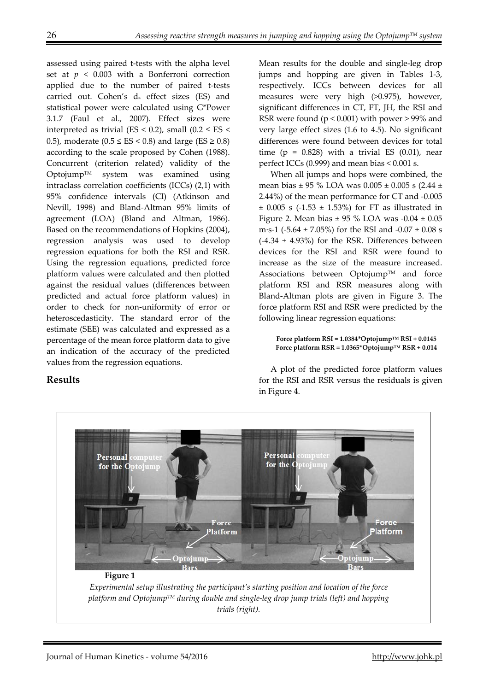assessed using paired t-tests with the alpha level set at  $p < 0.003$  with a Bonferroni correction applied due to the number of paired t-tests carried out. Cohen's dz effect sizes (ES) and statistical power were calculated using G\*Power 3.1.7 (Faul et al., 2007). Effect sizes were interpreted as trivial (ES < 0.2), small (0.2  $\le$  ES < 0.5), moderate ( $0.5 \leq ES < 0.8$ ) and large ( $ES \geq 0.8$ ) according to the scale proposed by Cohen (1988). Concurrent (criterion related) validity of the OptojumpTM system was examined using intraclass correlation coefficients (ICCs) (2,1) with 95% confidence intervals (CI) (Atkinson and Nevill, 1998) and Bland-Altman 95% limits of agreement (LOA) (Bland and Altman, 1986). Based on the recommendations of Hopkins (2004), regression analysis was used to develop regression equations for both the RSI and RSR. Using the regression equations, predicted force platform values were calculated and then plotted against the residual values (differences between predicted and actual force platform values) in order to check for non-uniformity of error or heteroscedasticity. The standard error of the estimate (SEE) was calculated and expressed as a percentage of the mean force platform data to give an indication of the accuracy of the predicted values from the regression equations.

Mean results for the double and single-leg drop jumps and hopping are given in Tables 1-3, respectively. ICCs between devices for all measures were very high (>0.975), however, significant differences in CT, FT, JH, the RSI and RSR were found ( $p < 0.001$ ) with power > 99% and very large effect sizes (1.6 to 4.5). No significant differences were found between devices for total time ( $p = 0.828$ ) with a trivial ES (0.01), near perfect ICCs (0.999) and mean bias < 0.001 s.

When all jumps and hops were combined, the mean bias  $\pm$  95 % LOA was 0.005  $\pm$  0.005 s (2.44  $\pm$ 2.44%) of the mean performance for CT and -0.005  $\pm$  0.005 s (-1.53  $\pm$  1.53%) for FT as illustrated in Figure 2. Mean bias  $\pm$  95 % LOA was -0.04  $\pm$  0.05 m·s-1 (-5.64  $\pm$  7.05%) for the RSI and -0.07  $\pm$  0.08 s  $(-4.34 \pm 4.93\%)$  for the RSR. Differences between devices for the RSI and RSR were found to increase as the size of the measure increased. Associations between Optojump™ and force platform RSI and RSR measures along with Bland-Altman plots are given in Figure 3. The force platform RSI and RSR were predicted by the following linear regression equations:

**Force platform RSI = 1.0384\*OptojumpTM RSI + 0.0145 Force platform RSR = 1.0365\*OptojumpTM RSR + 0.014** 

A plot of the predicted force platform values for the RSI and RSR versus the residuals is given in Figure 4.



# **Results**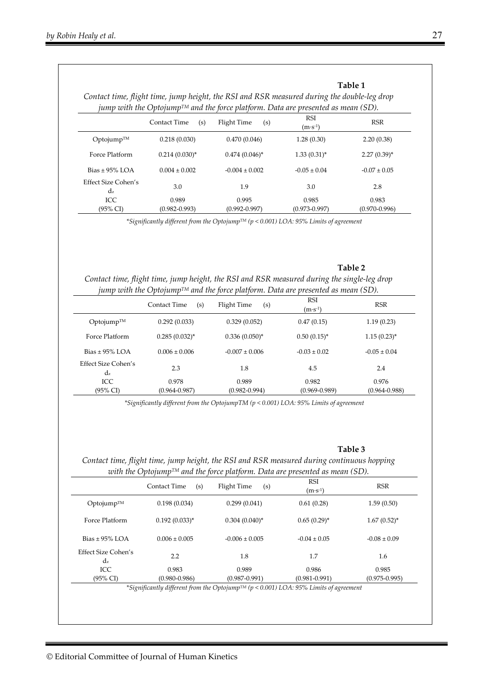|                                                                                               |                     |                    | Table 1<br>Contact time, flight time, jump height, the RSI and RSR measured during the double-leg drop |                   |  |  |
|-----------------------------------------------------------------------------------------------|---------------------|--------------------|--------------------------------------------------------------------------------------------------------|-------------------|--|--|
| jump with the Optojump <sup>TM</sup> and the force platform. Data are presented as mean (SD). |                     |                    |                                                                                                        |                   |  |  |
|                                                                                               | Contact Time<br>(s) | Flight Time<br>(s) | <b>RSI</b><br>$(m\!\cdot\! s\!\cdot\!\!1)$                                                             | <b>RSR</b>        |  |  |
| $Optionump^{TM}$                                                                              | 0.218(0.030)        | 0.470(0.046)       | 1.28(0.30)                                                                                             | 2.20(0.38)        |  |  |
| Force Platform                                                                                | $0.214(0.030)^{*}$  | $0.474(0.046)^{*}$ | $1.33(0.31)^{*}$                                                                                       | $2.27(0.39)^*$    |  |  |
| Bias $\pm$ 95% LOA                                                                            | $0.004 \pm 0.002$   | $-0.004 \pm 0.002$ | $-0.05 \pm 0.04$                                                                                       | $-0.07 \pm 0.05$  |  |  |
| Effect Size Cohen's<br>$d_z$                                                                  | 3.0                 | 1.9                | 3.0                                                                                                    | 2.8               |  |  |
| ICC                                                                                           | 0.989               | 0.995              | 0.985                                                                                                  | 0.983             |  |  |
| $(95\% \text{ CI})$                                                                           | $(0.982 - 0.993)$   | $(0.992 - 0.997)$  | $(0.973 - 0.997)$                                                                                      | $(0.970 - 0.996)$ |  |  |

*\*Significantly different from the OptojumpTM (p < 0.001) LOA: 95% Limits of agreement* 

# **Table 2**  *Contact time, flight time, jump height, the RSI and RSR measured during the single-leg drop jump with the OptojumpTM and the force platform. Data are presented as mean (SD).*

|                                   | Contact Time<br>(s) | Flight Time<br>(s) | <b>RSI</b><br>$(m·s-1)$ | <b>RSR</b>        |
|-----------------------------------|---------------------|--------------------|-------------------------|-------------------|
| $Optionump^{TM}$                  | 0.292(0.033)        | 0.329(0.052)       | 0.47(0.15)              | 1.19(0.23)        |
| Force Platform                    | $0.285(0.032)^{*}$  | $0.336(0.050)$ *   | $0.50(0.15)^{*}$        | $1.15(0.23)^{*}$  |
| Bias $\pm$ 95% LOA                | $0.006 \pm 0.006$   | $-0.007 \pm 0.006$ | $-0.03 \pm 0.02$        | $-0.05 \pm 0.04$  |
| Effect Size Cohen's<br>$\rm{d}_z$ | 2.3                 | 1.8                | 4.5                     | 2.4               |
| ICC                               | 0.978               | 0.989              | 0.982                   | 0.976             |
| $(95\% \text{ CI})$               | $(0.964 - 0.987)$   | $(0.982 - 0.994)$  | $(0.969 - 0.989)$       | $(0.964 - 0.988)$ |

*\*Significantly different from the OptojumpTM (p < 0.001) LOA: 95% Limits of agreement* 

#### **Table 3**

*Contact time, flight time, jump height, the RSI and RSR measured during continuous hopping with the OptojumpTM and the force platform. Data are presented as mean (SD).* 

|                           | (s)<br><b>Contact Time</b> | Flight Time<br>(s) | <b>RSI</b><br>$(m·s-1)$ | <b>RSR</b>        |
|---------------------------|----------------------------|--------------------|-------------------------|-------------------|
| $Optionump^{TM}$          | 0.198(0.034)               | 0.299(0.041)       | 0.61(0.28)              | 1.59(0.50)        |
| Force Platform            | $0.192(0.033)^*$           | $0.304(0.040)^*$   | $0.65(0.29)^{*}$        | $1.67(0.52)^{*}$  |
| Bias $\pm$ 95% LOA        | $0.006 \pm 0.005$          | $-0.006 \pm 0.005$ | $-0.04 \pm 0.05$        | $-0.08 \pm 0.09$  |
| Effect Size Cohen's<br>dz | 2.2                        | 1.8                | 1.7                     | 1.6               |
| ICC.                      | 0.983                      | 0.989              | 0.986                   | 0.985             |
| (95% CI)                  | $(0.980 - 0.986)$          | $(0.987 - 0.991)$  | $(0.981 - 0.991)$       | $(0.975 - 0.995)$ |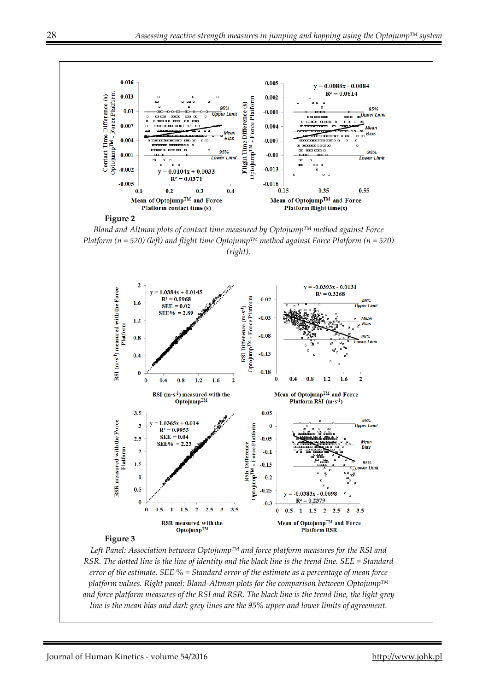

*RSR. The dotted line is the line of identity and the black line is the trend line. SEE = Standard error of the estimate. SEE % = Standard error of the estimate as a percentage of mean force platform values. Right panel: Bland-Altman plots for the comparison between OptojumpTM and force platform measures of the RSI and RSR. The black line is the trend line, the light grey line is the mean bias and dark grey lines are the 95% upper and lower limits of agreement.*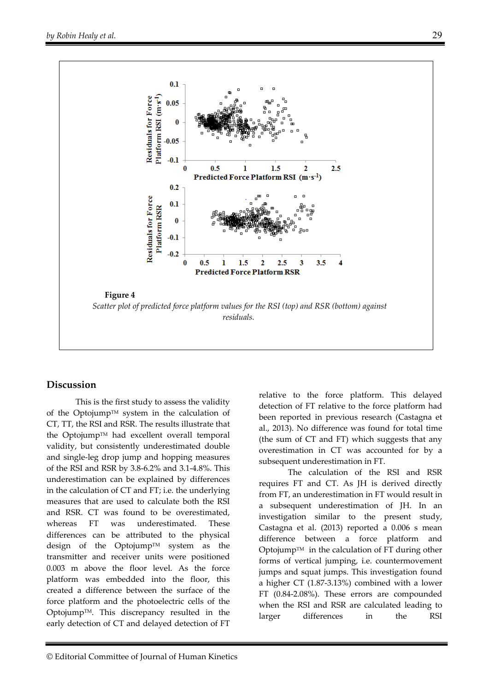

# **Discussion**

This is the first study to assess the validity of the OptojumpTM system in the calculation of CT, TT, the RSI and RSR. The results illustrate that the OptojumpTM had excellent overall temporal validity, but consistently underestimated double and single-leg drop jump and hopping measures of the RSI and RSR by 3.8-6.2% and 3.1-4.8%. This underestimation can be explained by differences in the calculation of CT and FT; i.e. the underlying measures that are used to calculate both the RSI and RSR. CT was found to be overestimated, whereas FT was underestimated. These differences can be attributed to the physical design of the OptojumpTM system as the transmitter and receiver units were positioned 0.003 m above the floor level. As the force platform was embedded into the floor, this created a difference between the surface of the force platform and the photoelectric cells of the OptojumpTM. This discrepancy resulted in the early detection of CT and delayed detection of FT

relative to the force platform. This delayed detection of FT relative to the force platform had been reported in previous research (Castagna et al., 2013). No difference was found for total time (the sum of CT and FT) which suggests that any overestimation in CT was accounted for by a subsequent underestimation in FT.

The calculation of the RSI and RSR requires FT and CT. As JH is derived directly from FT, an underestimation in FT would result in a subsequent underestimation of JH. In an investigation similar to the present study, Castagna et al. (2013) reported a 0.006 s mean difference between a force platform and Optojump<sup>TM</sup> in the calculation of FT during other forms of vertical jumping, i.e. countermovement jumps and squat jumps. This investigation found a higher CT (1.87-3.13%) combined with a lower FT (0.84-2.08%). These errors are compounded when the RSI and RSR are calculated leading to larger differences in the RSI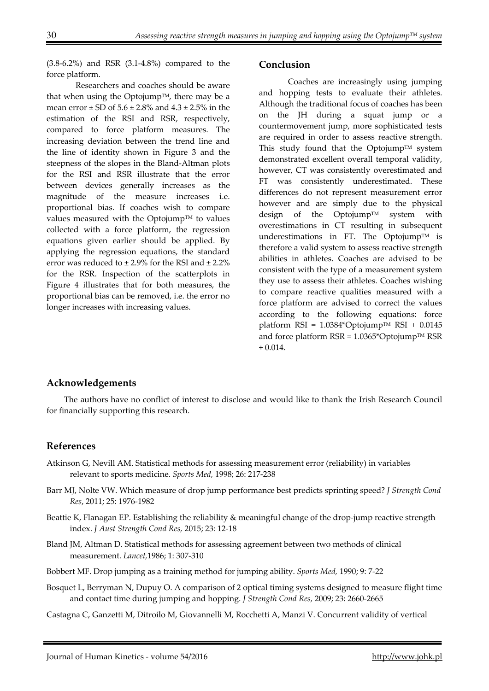(3.8-6.2%) and RSR (3.1-4.8%) compared to the force platform.

Researchers and coaches should be aware that when using the Optojump<sup>TM</sup>, there may be a mean error  $\pm$  SD of 5.6  $\pm$  2.8% and 4.3  $\pm$  2.5% in the estimation of the RSI and RSR, respectively, compared to force platform measures. The increasing deviation between the trend line and the line of identity shown in Figure 3 and the steepness of the slopes in the Bland-Altman plots for the RSI and RSR illustrate that the error between devices generally increases as the magnitude of the measure increases i.e. proportional bias. If coaches wish to compare values measured with the Optojump<sup>TM</sup> to values collected with a force platform, the regression equations given earlier should be applied. By applying the regression equations, the standard error was reduced to  $\pm 2.9\%$  for the RSI and  $\pm 2.2\%$ for the RSR. Inspection of the scatterplots in Figure 4 illustrates that for both measures, the proportional bias can be removed, i.e. the error no longer increases with increasing values.

#### **Conclusion**

Coaches are increasingly using jumping and hopping tests to evaluate their athletes. Although the traditional focus of coaches has been on the JH during a squat jump or a countermovement jump, more sophisticated tests are required in order to assess reactive strength. This study found that the Optojump<sup>TM</sup> system demonstrated excellent overall temporal validity, however, CT was consistently overestimated and FT was consistently underestimated. These differences do not represent measurement error however and are simply due to the physical design of the Optojump™ system with overestimations in CT resulting in subsequent underestimations in FT. The Optojump<sup>TM</sup> is therefore a valid system to assess reactive strength abilities in athletes. Coaches are advised to be consistent with the type of a measurement system they use to assess their athletes. Coaches wishing to compare reactive qualities measured with a force platform are advised to correct the values according to the following equations: force platform RSI =  $1.0384*$ Optojump<sup>TM</sup> RSI + 0.0145 and force platform  $RSR = 1.0365*Optojump^{TM} RSR$  $+ 0.014.$ 

# **Acknowledgements**

The authors have no conflict of interest to disclose and would like to thank the Irish Research Council for financially supporting this research.

# **References**

- Atkinson G, Nevill AM. Statistical methods for assessing measurement error (reliability) in variables relevant to sports medicine. *Sports Med,* 1998; 26: 217-238
- Barr MJ, Nolte VW. Which measure of drop jump performance best predicts sprinting speed? *J Strength Cond Res*, 2011; 25: 1976-1982
- Beattie K, Flanagan EP. Establishing the reliability & meaningful change of the drop-jump reactive strength index. *J Aust Strength Cond Res,* 2015; 23: 12-18
- Bland JM, Altman D. Statistical methods for assessing agreement between two methods of clinical measurement. *Lancet,*1986; 1: 307-310
- Bobbert MF. Drop jumping as a training method for jumping ability. *Sports Med,* 1990; 9: 7-22
- Bosquet L, Berryman N, Dupuy O. A comparison of 2 optical timing systems designed to measure flight time and contact time during jumping and hopping. *J Strength Cond Res,* 2009; 23: 2660-2665
- Castagna C, Ganzetti M, Ditroilo M, Giovannelli M, Rocchetti A, Manzi V. Concurrent validity of vertical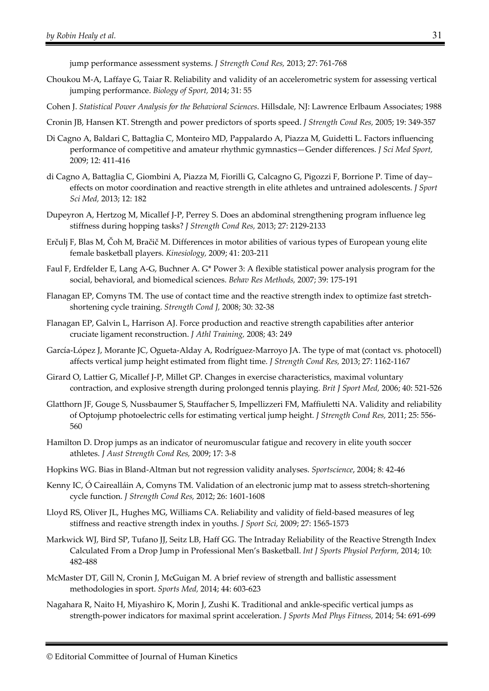jump performance assessment systems. *J Strength Cond Res,* 2013; 27: 761-768

- Choukou M-A, Laffaye G, Taiar R. Reliability and validity of an accelerometric system for assessing vertical jumping performance. *Biology of Sport,* 2014; 31: 55
- Cohen J. *Statistical Power Analysis for the Behavioral Sciences*. Hillsdale, NJ: Lawrence Erlbaum Associates; 1988
- Cronin JB, Hansen KT. Strength and power predictors of sports speed. *J Strength Cond Res,* 2005; 19: 349-357
- Di Cagno A, Baldari C, Battaglia C, Monteiro MD, Pappalardo A, Piazza M, Guidetti L. Factors influencing performance of competitive and amateur rhythmic gymnastics—Gender differences. *J Sci Med Sport,* 2009; 12: 411-416
- di Cagno A, Battaglia C, Giombini A, Piazza M, Fiorilli G, Calcagno G, Pigozzi F, Borrione P. Time of day– effects on motor coordination and reactive strength in elite athletes and untrained adolescents. *J Sport Sci Med,* 2013; 12: 182
- Dupeyron A, Hertzog M, Micallef J-P, Perrey S. Does an abdominal strengthening program influence leg stiffness during hopping tasks? *J Strength Cond Res,* 2013; 27: 2129-2133
- Erčulj F, Blas M, Čoh M, Bračič M. Differences in motor abilities of various types of European young elite female basketball players. *Kinesiology,* 2009; 41: 203-211
- Faul F, Erdfelder E, Lang A-G, Buchner A. G\* Power 3: A flexible statistical power analysis program for the social, behavioral, and biomedical sciences. *Behav Res Methods,* 2007; 39: 175-191
- Flanagan EP, Comyns TM. The use of contact time and the reactive strength index to optimize fast stretchshortening cycle training. *Strength Cond J,* 2008; 30: 32-38
- Flanagan EP, Galvin L, Harrison AJ. Force production and reactive strength capabilities after anterior cruciate ligament reconstruction. *J Athl Training,* 2008; 43: 249
- García-López J, Morante JC, Ogueta-Alday A, Rodríguez-Marroyo JA. The type of mat (contact vs. photocell) affects vertical jump height estimated from flight time. *J Strength Cond Res,* 2013; 27: 1162-1167
- Girard O, Lattier G, Micallef J-P, Millet GP. Changes in exercise characteristics, maximal voluntary contraction, and explosive strength during prolonged tennis playing. *Brit J Sport Med,* 2006; 40: 521-526
- Glatthorn JF, Gouge S, Nussbaumer S, Stauffacher S, Impellizzeri FM, Maffiuletti NA. Validity and reliability of Optojump photoelectric cells for estimating vertical jump height. *J Strength Cond Res,* 2011; 25: 556- 560
- Hamilton D. Drop jumps as an indicator of neuromuscular fatigue and recovery in elite youth soccer athletes. *J Aust Strength Cond Res,* 2009; 17: 3-8
- Hopkins WG. Bias in Bland-Altman but not regression validity analyses. *Sportscience*, 2004; 8: 42-46
- Kenny IC, Ó Cairealláin A, Comyns TM. Validation of an electronic jump mat to assess stretch-shortening cycle function. *J Strength Cond Res,* 2012; 26: 1601-1608
- Lloyd RS, Oliver JL, Hughes MG, Williams CA. Reliability and validity of field-based measures of leg stiffness and reactive strength index in youths. *J Sport Sci,* 2009; 27: 1565-1573
- Markwick WJ, Bird SP, Tufano JJ, Seitz LB, Haff GG. The Intraday Reliability of the Reactive Strength Index Calculated From a Drop Jump in Professional Men's Basketball. *Int J Sports Physiol Perform,* 2014; 10: 482-488
- McMaster DT, Gill N, Cronin J, McGuigan M. A brief review of strength and ballistic assessment methodologies in sport. *Sports Med,* 2014; 44: 603-623
- Nagahara R, Naito H, Miyashiro K, Morin J, Zushi K. Traditional and ankle-specific vertical jumps as strength-power indicators for maximal sprint acceleration. *J Sports Med Phys Fitness,* 2014; 54: 691-699